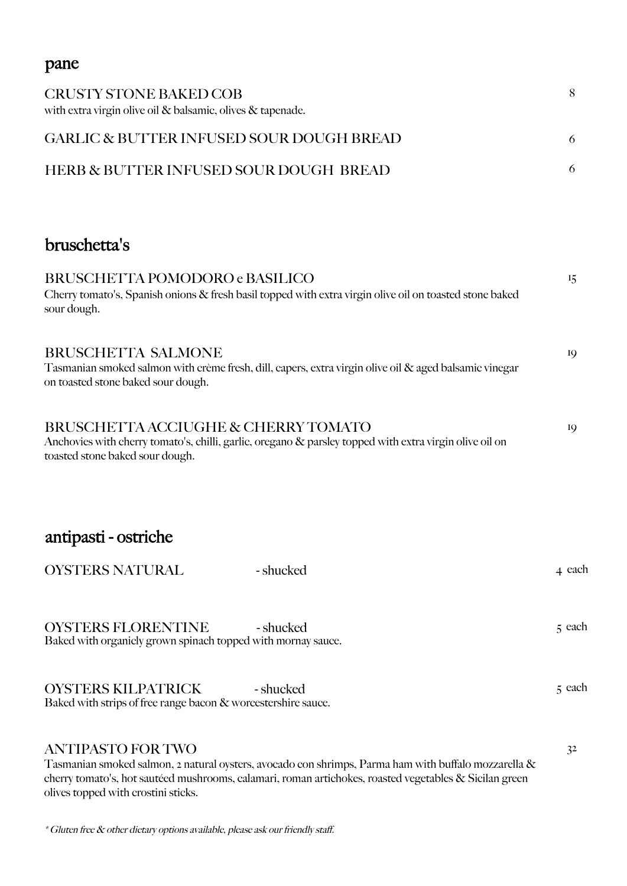# pane CRUSTY STONE BAKED COB with extra virgin olive oil & balsamic, olives & tapenade. 8 GARLIC & BUTTER INFUSED SOUR DOUGH BREAD 6 HERB & BUTTER INFUSED SOUR DOUGH BREAD 6 bruschetta's BRUSCHETTA POMODORO e BASILICO 15 Cherry tomato's, Spanish onions & fresh basil topped with extra virgin olive oil on toasted stone baked sour dough. BRUSCHETTA SALMONE 19 Tasmanian smoked salmon with crème fresh, dill, capers, extra virgin olive oil & aged balsamic vinegar on toasted stone baked sour dough. BRUSCHETTA ACCIUGHE & CHERRY TOMATO Anchovies with cherry tomato's, chilli, garlic, oregano & parsley topped with extra virgin olive oil on toasted stone baked sour dough. antipasti - ostriche OYSTERS NATURAL - shucked 4 each 4 each OYSTERS FLORENTINE - shucked 5 each Baked with organicly grown spinach topped with mornay sauce.

OYSTERS KILPATRICK - shucked 5 each 5 each Baked with strips of free range bacon & worcestershire sauce.

#### ANTIPASTO FOR TWO 32

Tasmanian smoked salmon, 2 natural oysters, avocado con shrimps, Parma ham with buffalo mozzarella & cherry tomato's, hot sautéed mushrooms, calamari, roman artichokes, roasted vegetables & Sicilan green olives topped with crostini sticks.

\* Gluten free & other dietary options available, please ask our friendly staff.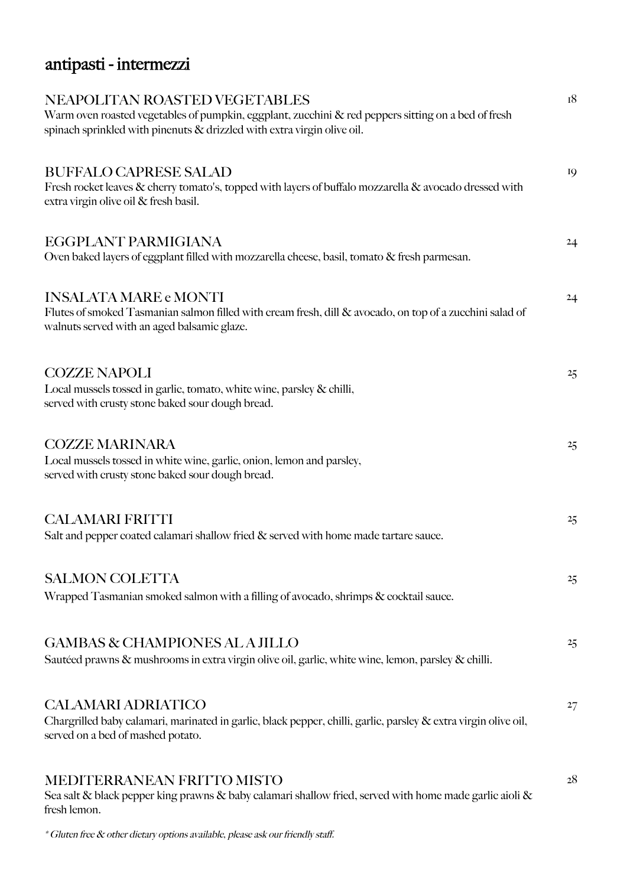# antipasti - intermezzi

| NEAPOLITAN ROASTED VEGETABLES<br>Warm oven roasted vegetables of pumpkin, eggplant, zucchini & red peppers sitting on a bed of fresh<br>spinach sprinkled with pinenuts & drizzled with extra virgin olive oil. | 18 |
|-----------------------------------------------------------------------------------------------------------------------------------------------------------------------------------------------------------------|----|
| <b>BUFFALO CAPRESE SALAD</b><br>Fresh rocket leaves & cherry tomato's, topped with layers of buffalo mozzarella & avocado dressed with<br>extra virgin olive oil & fresh basil.                                 | 19 |
| EGGPLANT PARMIGIANA<br>Oven baked layers of eggplant filled with mozzarella cheese, basil, tomato & fresh parmesan.                                                                                             | 24 |
| <b>INSALATA MARE e MONTI</b><br>Flutes of smoked Tasmanian salmon filled with cream fresh, dill & avocado, on top of a zucchini salad of<br>walnuts served with an aged balsamic glaze.                         | 24 |
| <b>COZZE NAPOLI</b><br>Local mussels tossed in garlic, tomato, white wine, parsley & chilli,<br>served with crusty stone baked sour dough bread.                                                                | 25 |
| <b>COZZE MARINARA</b><br>Local mussels tossed in white wine, garlic, onion, lemon and parsley,<br>served with crusty stone baked sour dough bread.                                                              | 25 |
| <b>CALAMARI FRITTI</b><br>Salt and pepper coated calamari shallow fried & served with home made tartare sauce.                                                                                                  | 25 |
| <b>SALMON COLETTA</b><br>Wrapped Tasmanian smoked salmon with a filling of avocado, shrimps & cocktail sauce.                                                                                                   | 25 |
| <b>GAMBAS &amp; CHAMPIONES AL A JILLO</b><br>Sautéed prawns & mushrooms in extra virgin olive oil, garlic, white wine, lemon, parsley & chilli.                                                                 | 25 |
| <b>CALAMARI ADRIATICO</b><br>Chargrilled baby calamari, marinated in garlic, black pepper, chilli, garlic, parsley & extra virgin olive oil,<br>served on a bed of mashed potato.                               | 27 |
| <b>MEDITERRANEAN FRITTO MISTO</b><br>Sea salt & black pepper king prawns & baby calamari shallow fried, served with home made garlic aioli &                                                                    | 28 |

\* Gluten free & other dietary options available, please ask our friendly staff.

fresh lemon.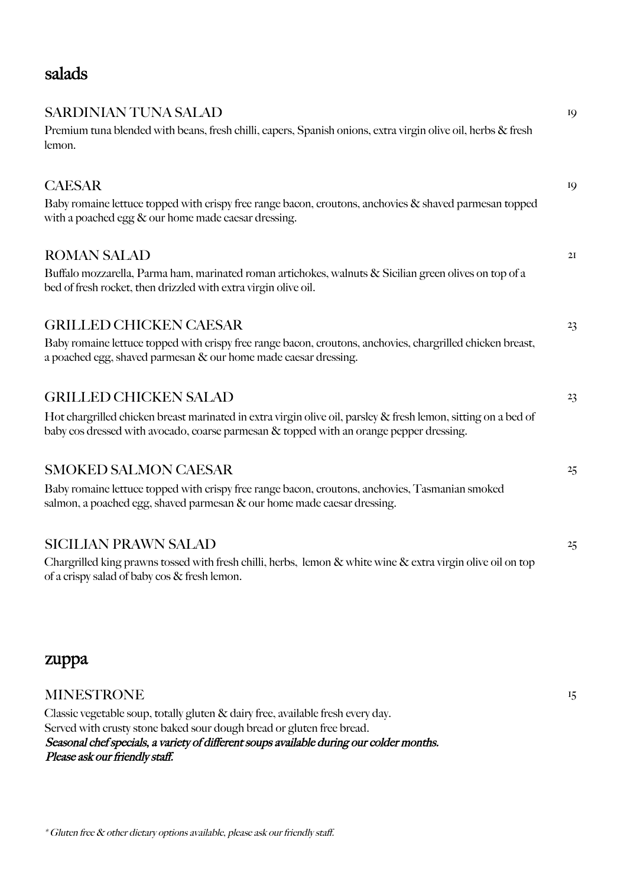#### salads

| SARDINIAN TUNA SALAD                                                                                                                                                                                      | 19 |
|-----------------------------------------------------------------------------------------------------------------------------------------------------------------------------------------------------------|----|
| Premium tuna blended with beans, fresh chilli, capers, Spanish onions, extra virgin olive oil, herbs & fresh<br>lemon.                                                                                    |    |
| <b>CAESAR</b>                                                                                                                                                                                             | 19 |
| Baby romaine lettuce topped with crispy free range bacon, croutons, anchovies & shaved parmesan topped<br>with a poached egg $\&$ our home made caesar dressing.                                          |    |
| <b>ROMAN SALAD</b>                                                                                                                                                                                        | 2I |
| Buffalo mozzarella, Parma ham, marinated roman artichokes, walnuts & Sicilian green olives on top of a<br>bed of fresh rocket, then drizzled with extra virgin olive oil.                                 |    |
| <b>GRILLED CHICKEN CAESAR</b>                                                                                                                                                                             | 23 |
| Baby romaine lettuce topped with crispy free range bacon, croutons, anchovies, chargrilled chicken breast,<br>a poached egg, shaved parmesan & our home made caesar dressing.                             |    |
| <b>GRILLED CHICKEN SALAD</b>                                                                                                                                                                              | 23 |
| Hot chargrilled chicken breast marinated in extra virgin olive oil, parsley & fresh lemon, sitting on a bed of<br>baby cos dressed with avocado, coarse parmesan & topped with an orange pepper dressing. |    |
| <b>SMOKED SALMON CAESAR</b>                                                                                                                                                                               | 25 |
| Baby romaine lettuce topped with crispy free range bacon, croutons, anchovies, Tasmanian smoked<br>salmon, a poached egg, shaved parmesan & our home made caesar dressing.                                |    |
| <b>SICILIAN PRAWN SALAD</b>                                                                                                                                                                               | 25 |
| Chargrilled king prawns tossed with fresh chilli, herbs, lemon & white wine & extra virgin olive oil on top<br>of a crispy salad of baby $\cos \&$ fresh lemon.                                           |    |
|                                                                                                                                                                                                           |    |
|                                                                                                                                                                                                           |    |

#### zuppa

#### MINESTRONE 15

Classic vegetable soup, totally gluten & dairy free, available fresh every day. Served with crusty stone baked sour dough bread or gluten free bread. Seasonal chef specials, a variety of different soups available during our colder months. Please ask our friendly staff.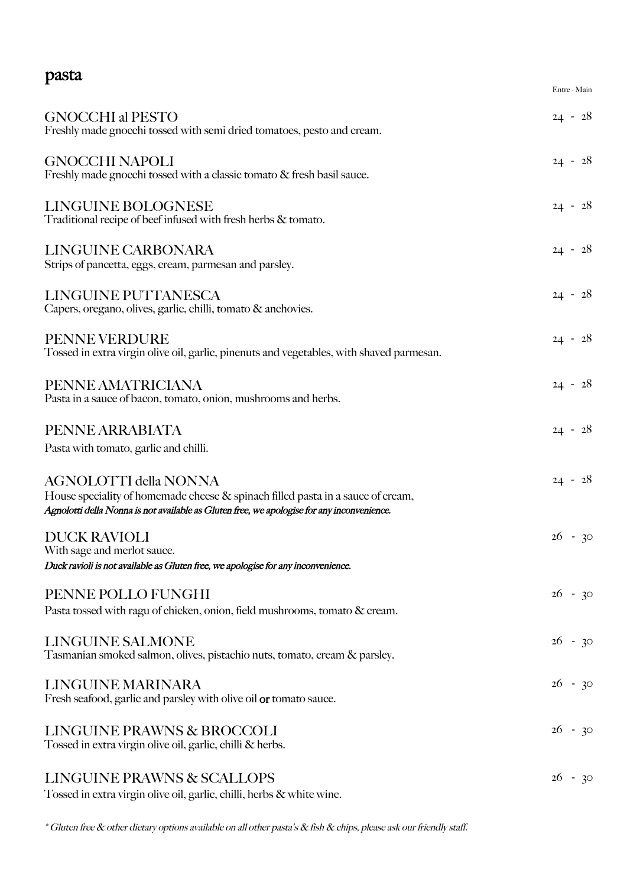### pasta

|                                                                                                                                                                                                               | Entre - Main |
|---------------------------------------------------------------------------------------------------------------------------------------------------------------------------------------------------------------|--------------|
| <b>GNOCCHI al PESTO</b><br>Freshly made gnocchi tossed with semi dried tomatoes, pesto and cream.                                                                                                             | $24 - 28$    |
| <b>GNOCCHI NAPOLI</b><br>Freshly made gnocchi tossed with a classic tomato & fresh basil sauce.                                                                                                               | $24 - 28$    |
| LINGUINE BOLOGNESE<br>Traditional recipe of beef infused with fresh herbs & tomato.                                                                                                                           | $24 - 28$    |
| LINGUINE CARBONARA<br>Strips of pancetta, eggs, cream, parmesan and parsley.                                                                                                                                  | $24 - 28$    |
| LINGUINE PUTTANESCA<br>Capers, oregano, olives, garlic, chilli, tomato & anchovies.                                                                                                                           | $24 - 28$    |
| <b>PENNE VERDURE</b><br>Tossed in extra virgin olive oil, garlic, pinenuts and vegetables, with shaved parmesan.                                                                                              | $24 - 28$    |
| PENNE AMATRICIANA<br>Pasta in a sauce of bacon, tomato, onion, mushrooms and herbs.                                                                                                                           | $24 - 28$    |
| PENNE ARRABIATA<br>Pasta with tomato, garlic and chilli.                                                                                                                                                      | $24 - 28$    |
| <b>AGNOLOTTI della NONNA</b><br>House speciality of homemade cheese & spinach filled pasta in a sauce of cream,<br>Agnolotti della Nonna is not available as Gluten free, we apologise for any inconvenience. | $24 - 28$    |
| <b>DUCK RAVIOLI</b><br>With sage and merlot sauce.<br>Duck ravioli is not available as Gluten free, we apologise for any inconvenience.                                                                       | $26 - 30$    |
| PENNE POLLO FUNGHI<br>Pasta tossed with ragu of chicken, onion, field mushrooms, tomato & cream.                                                                                                              | $26 - 30$    |
| <b>LINGUINE SALMONE</b><br>Tasmanian smoked salmon, olives, pistachio nuts, tomato, cream & parsley.                                                                                                          | $26 - 30$    |
| <b>LINGUINE MARINARA</b><br>Fresh seafood, garlic and parsley with olive oil or tomato sauce.                                                                                                                 | $26 - 30$    |
| LINGUINE PRAWNS & BROCCOLI<br>Tossed in extra virgin olive oil, garlic, chilli & herbs.                                                                                                                       | $26 - 30$    |
| LINGUINE PRAWNS & SCALLOPS<br>Tossed in extra virgin olive oil, garlic, chilli, herbs & white wine.                                                                                                           | $26 - 30$    |

\* Gluten free & other dietary options available on all other pasta's & fish & chips, please ask our friendly staff.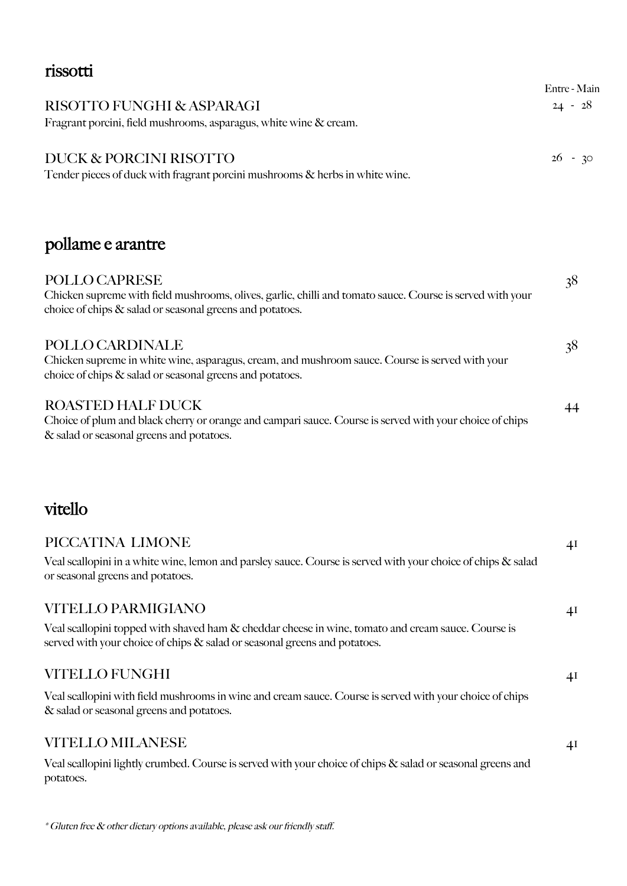| rissotti                                                                                                                                                                               |                           |
|----------------------------------------------------------------------------------------------------------------------------------------------------------------------------------------|---------------------------|
| RISOTTO FUNGHI & ASPARAGI                                                                                                                                                              | Entre - Main<br>$24 - 28$ |
| Fragrant porcini, field mushrooms, asparagus, white wine & cream.                                                                                                                      |                           |
| DUCK & PORCINI RISOTTO<br>Tender pieces of duck with fragrant porcini mushrooms & herbs in white wine.                                                                                 | $26 - 30$                 |
| pollame e arantre                                                                                                                                                                      |                           |
| POLLO CAPRESE<br>Chicken supreme with field mushrooms, olives, garlic, chilli and tomato sauce. Course is served with your<br>choice of chips & salad or seasonal greens and potatoes. | 38                        |
| POLLO CARDINALE<br>Chicken supreme in white wine, asparagus, cream, and mushroom sauce. Course is served with your<br>choice of chips & salad or seasonal greens and potatoes.         | 38                        |
| <b>ROASTED HALF DUCK</b><br>Choice of plum and black cherry or orange and campari sauce. Course is served with your choice of chips<br>& salad or seasonal greens and potatoes.        | 44                        |
| vitello                                                                                                                                                                                |                           |
| PICCATINA LIMONE                                                                                                                                                                       | 41                        |
| Veal scallopini in a white wine, lemon and parsley sauce. Course is served with your choice of chips & salad<br>or seasonal greens and potatoes.                                       |                           |
| <b>VITELLO PARMIGIANO</b>                                                                                                                                                              | 4 <sup>I</sup>            |
| Veal scallopini topped with shaved ham & cheddar cheese in wine, tomato and cream sauce. Course is<br>served with your choice of chips & salad or seasonal greens and potatoes.        |                           |
| VITELLO FUNGHI                                                                                                                                                                         | 4 <sup>I</sup>            |
| Veal scallopini with field mushrooms in wine and cream sauce. Course is served with your choice of chips                                                                               |                           |

& salad or seasonal greens and potatoes.

#### VITELLO MILANESE 41

Veal scallopini lightly crumbed. Course is served with your choice of chips & salad or seasonal greens and potatoes.

\* Gluten free & other dietary options available, please ask our friendly staff.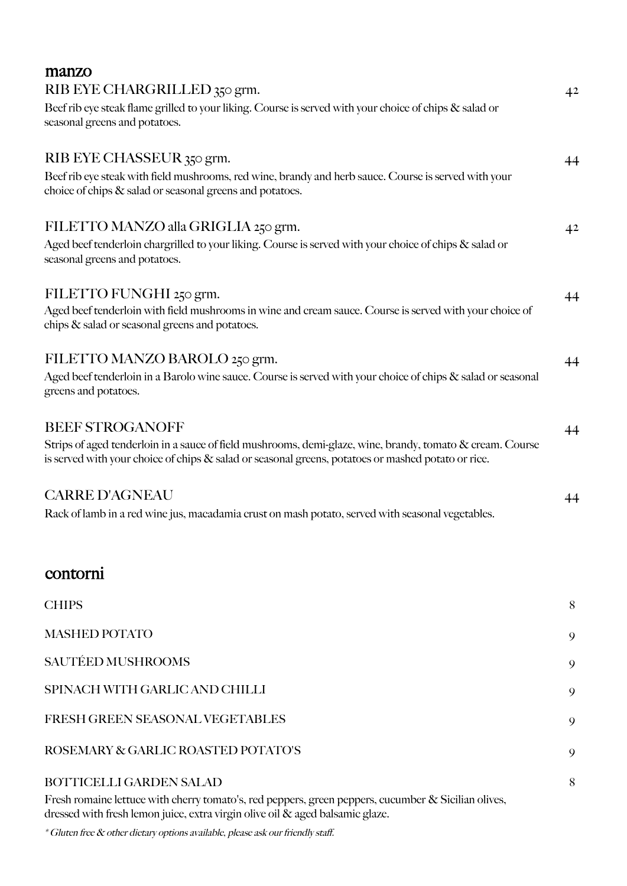| manzo                                                                                                                                                                                                              |                |
|--------------------------------------------------------------------------------------------------------------------------------------------------------------------------------------------------------------------|----------------|
| RIB EYE CHARGRILLED 350 grm.                                                                                                                                                                                       | 42             |
| Beef rib eye steak flame grilled to your liking. Course is served with your choice of chips & salad or<br>seasonal greens and potatoes.                                                                            |                |
| RIB EYE CHASSEUR 350 grm.                                                                                                                                                                                          | 44             |
| Beef rib eye steak with field mushrooms, red wine, brandy and herb sauce. Course is served with your<br>choice of chips & salad or seasonal greens and potatoes.                                                   |                |
| FILETTO MANZO alla GRIGLIA 250 grm.                                                                                                                                                                                | 4 <sup>2</sup> |
| Aged beef tenderloin chargrilled to your liking. Course is served with your choice of chips & salad or<br>seasonal greens and potatoes.                                                                            |                |
| FILETTO FUNGHI 250 grm.                                                                                                                                                                                            | 44             |
| Aged beef tenderloin with field mushrooms in wine and cream sauce. Course is served with your choice of<br>chips & salad or seasonal greens and potatoes.                                                          |                |
| FILETTO MANZO BAROLO 250 grm.                                                                                                                                                                                      | 44             |
| Aged beef tenderloin in a Barolo wine sauce. Course is served with your choice of chips & salad or seasonal<br>greens and potatoes.                                                                                |                |
| <b>BEEF STROGANOFF</b>                                                                                                                                                                                             | 44             |
| Strips of aged tenderloin in a sauce of field mushrooms, demi-glaze, wine, brandy, tomato & cream. Course<br>is served with your choice of chips $\&$ salad or seasonal greens, potatoes or mashed potato or rice. |                |
| <b>CARRE D'AGNEAU</b>                                                                                                                                                                                              | 44             |
| Rack of lamb in a red wine jus, macadamia crust on mash potato, served with seasonal vegetables.                                                                                                                   |                |
| contorni                                                                                                                                                                                                           |                |
| <b>CHIPS</b>                                                                                                                                                                                                       | 8              |
| <b>MASHED POTATO</b>                                                                                                                                                                                               | 9              |
| SAUTÉED MUSHROOMS                                                                                                                                                                                                  | 9              |
| SPINACH WITH GARLIC AND CHILLI                                                                                                                                                                                     | 9              |

# FRESH GREEN SEASONAL VEGETABLES 9

#### ROSEMARY & GARLIC ROASTED POTATO'S 9

#### BOTTICELLI GARDEN SALAD 8

Fresh romaine lettuce with cherry tomato's, red peppers, green peppers, cucumber & Sicilian olives, dressed with fresh lemon juice, extra virgin olive oil & aged balsamic glaze.

\* Gluten free & other dietary options available, please ask our friendly staff.